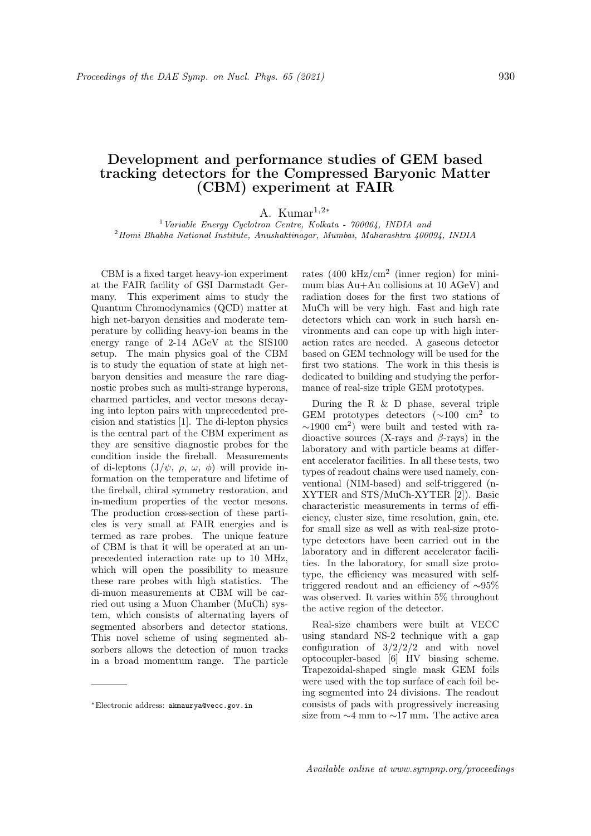## Development and performance studies of GEM based tracking detectors for the Compressed Baryonic Matter (CBM) experiment at FAIR

A. Kumar<sup>1,2∗</sup>

<sup>1</sup>Variable Energy Cyclotron Centre, Kolkata -  $700064$ , INDIA and <sup>2</sup>Homi Bhabha National Institute, Anushaktinagar, Mumbai, Maharashtra 400094, INDIA

CBM is a fixed target heavy-ion experiment at the FAIR facility of GSI Darmstadt Germany. This experiment aims to study the Quantum Chromodynamics (QCD) matter at high net-baryon densities and moderate temperature by colliding heavy-ion beams in the energy range of 2-14 AGeV at the SIS100 setup. The main physics goal of the CBM is to study the equation of state at high netbaryon densities and measure the rare diagnostic probes such as multi-strange hyperons, charmed particles, and vector mesons decaying into lepton pairs with unprecedented precision and statistics [1]. The di-lepton physics is the central part of the CBM experiment as they are sensitive diagnostic probes for the condition inside the fireball. Measurements of di-leptons  $(J/\psi, \rho, \omega, \phi)$  will provide information on the temperature and lifetime of the fireball, chiral symmetry restoration, and in-medium properties of the vector mesons. The production cross-section of these particles is very small at FAIR energies and is termed as rare probes. The unique feature of CBM is that it will be operated at an unprecedented interaction rate up to 10 MHz, which will open the possibility to measure these rare probes with high statistics. The di-muon measurements at CBM will be carried out using a Muon Chamber (MuCh) system, which consists of alternating layers of segmented absorbers and detector stations. This novel scheme of using segmented absorbers allows the detection of muon tracks in a broad momentum range. The particle

rates  $(400 \text{ kHz/cm}^2 \text{ (inner region)}$  for minimum bias Au+Au collisions at 10 AGeV) and radiation doses for the first two stations of MuCh will be very high. Fast and high rate detectors which can work in such harsh environments and can cope up with high interaction rates are needed. A gaseous detector based on GEM technology will be used for the first two stations. The work in this thesis is dedicated to building and studying the performance of real-size triple GEM prototypes.

During the R  $\&$  D phase, several triple GEM prototypes detectors  $(\sim 100 \text{ cm}^2 \text{ to}$  $\sim$ 1900 cm<sup>2</sup>) were built and tested with radioactive sources (X-rays and  $\beta$ -rays) in the laboratory and with particle beams at different accelerator facilities. In all these tests, two types of readout chains were used namely, conventional (NIM-based) and self-triggered (n-XYTER and STS/MuCh-XYTER [2]). Basic characteristic measurements in terms of efficiency, cluster size, time resolution, gain, etc. for small size as well as with real-size prototype detectors have been carried out in the laboratory and in different accelerator facilities. In the laboratory, for small size prototype, the efficiency was measured with selftriggered readout and an efficiency of ∼95% was observed. It varies within 5% throughout the active region of the detector.

Real-size chambers were built at VECC using standard NS-2 technique with a gap configuration of  $3/2/2/2$  and with novel optocoupler-based [6] HV biasing scheme. Trapezoidal-shaped single mask GEM foils were used with the top surface of each foil being segmented into 24 divisions. The readout consists of pads with progressively increasing size from ∼4 mm to ∼17 mm. The active area

<sup>∗</sup>Electronic address: akmaurya@vecc.gov.in